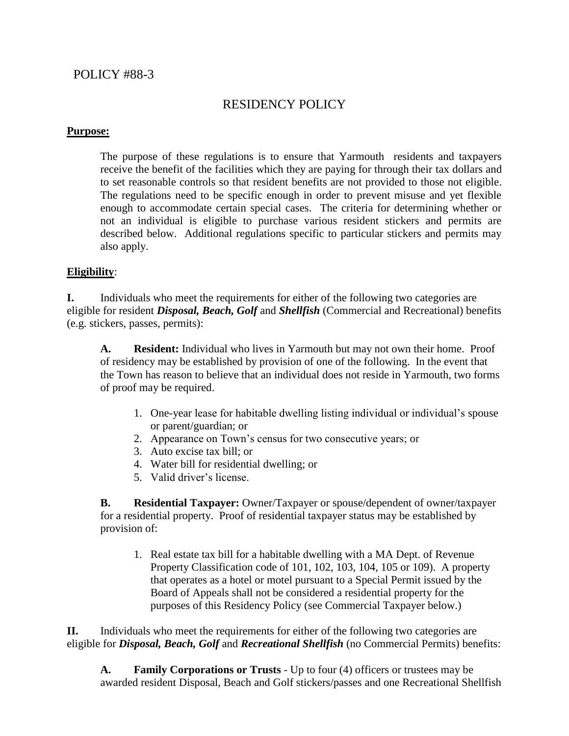### POLICY #88-3

# RESIDENCY POLICY

#### **Purpose:**

The purpose of these regulations is to ensure that Yarmouth residents and taxpayers receive the benefit of the facilities which they are paying for through their tax dollars and to set reasonable controls so that resident benefits are not provided to those not eligible. The regulations need to be specific enough in order to prevent misuse and yet flexible enough to accommodate certain special cases. The criteria for determining whether or not an individual is eligible to purchase various resident stickers and permits are described below. Additional regulations specific to particular stickers and permits may also apply.

#### **Eligibility**:

**I.** Individuals who meet the requirements for either of the following two categories are eligible for resident *Disposal, Beach, Golf* and *Shellfish* (Commercial and Recreational) benefits (e.g. stickers, passes, permits):

**A. Resident:** Individual who lives in Yarmouth but may not own their home. Proof of residency may be established by provision of one of the following. In the event that the Town has reason to believe that an individual does not reside in Yarmouth, two forms of proof may be required.

- 1. One-year lease for habitable dwelling listing individual or individual's spouse or parent/guardian; or
- 2. Appearance on Town's census for two consecutive years; or
- 3. Auto excise tax bill; or
- 4. Water bill for residential dwelling; or
- 5. Valid driver's license.

**B. Residential Taxpayer:** Owner/Taxpayer or spouse/dependent of owner/taxpayer for a residential property. Proof of residential taxpayer status may be established by provision of:

1. Real estate tax bill for a habitable dwelling with a MA Dept. of Revenue Property Classification code of 101, 102, 103, 104, 105 or 109). A property that operates as a hotel or motel pursuant to a Special Permit issued by the Board of Appeals shall not be considered a residential property for the purposes of this Residency Policy (see Commercial Taxpayer below.)

**II.** Individuals who meet the requirements for either of the following two categories are eligible for *Disposal, Beach, Golf* and *Recreational Shellfish* (no Commercial Permits) benefits:

**A. Family Corporations or Trusts** - Up to four (4) officers or trustees may be awarded resident Disposal, Beach and Golf stickers/passes and one Recreational Shellfish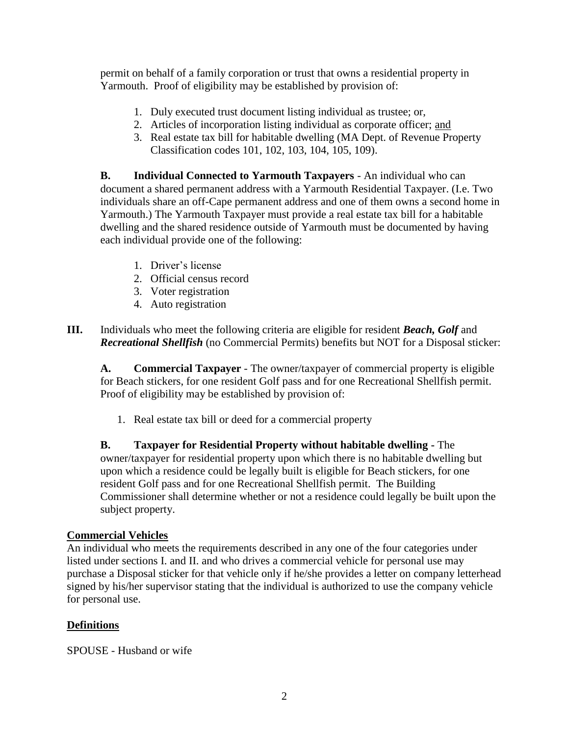permit on behalf of a family corporation or trust that owns a residential property in Yarmouth. Proof of eligibility may be established by provision of:

- 1. Duly executed trust document listing individual as trustee; or,
- 2. Articles of incorporation listing individual as corporate officer; and
- 3. Real estate tax bill for habitable dwelling (MA Dept. of Revenue Property Classification codes 101, 102, 103, 104, 105, 109).

**B. Individual Connected to Yarmouth Taxpayers** - An individual who can document a shared permanent address with a Yarmouth Residential Taxpayer. (I.e. Two individuals share an off-Cape permanent address and one of them owns a second home in Yarmouth.) The Yarmouth Taxpayer must provide a real estate tax bill for a habitable dwelling and the shared residence outside of Yarmouth must be documented by having each individual provide one of the following:

- 1. Driver's license
- 2. Official census record
- 3. Voter registration
- 4. Auto registration

**III.** Individuals who meet the following criteria are eligible for resident *Beach, Golf* and *Recreational Shellfish* (no Commercial Permits) benefits but NOT for a Disposal sticker:

**A. Commercial Taxpayer** - The owner/taxpayer of commercial property is eligible for Beach stickers, for one resident Golf pass and for one Recreational Shellfish permit. Proof of eligibility may be established by provision of:

1. Real estate tax bill or deed for a commercial property

**B. Taxpayer for Residential Property without habitable dwelling -** The owner/taxpayer for residential property upon which there is no habitable dwelling but upon which a residence could be legally built is eligible for Beach stickers, for one resident Golf pass and for one Recreational Shellfish permit. The Building Commissioner shall determine whether or not a residence could legally be built upon the subject property.

#### **Commercial Vehicles**

An individual who meets the requirements described in any one of the four categories under listed under sections I. and II. and who drives a commercial vehicle for personal use may purchase a Disposal sticker for that vehicle only if he/she provides a letter on company letterhead signed by his/her supervisor stating that the individual is authorized to use the company vehicle for personal use.

## **Definitions**

SPOUSE - Husband or wife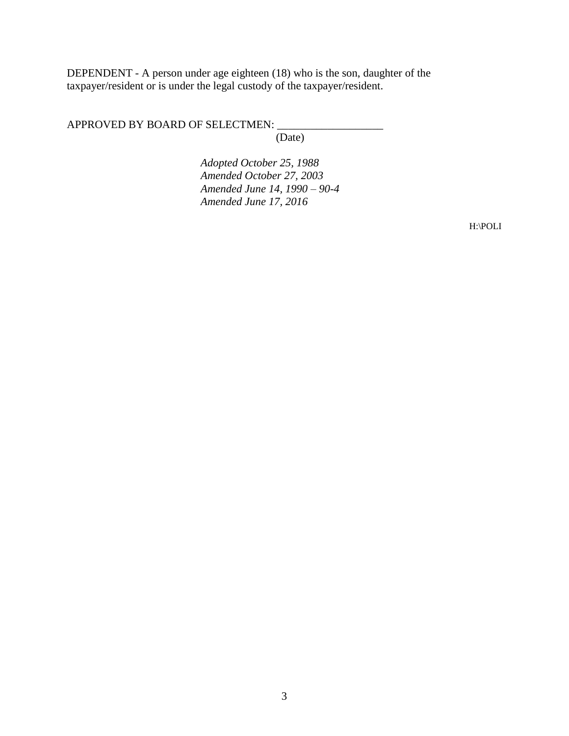DEPENDENT - A person under age eighteen (18) who is the son, daughter of the taxpayer/resident or is under the legal custody of the taxpayer/resident.

APPROVED BY BOARD OF SELECTMEN:

(Date)

*Adopted October 25, 1988 Amended October 27, 2003 Amended June 14, 1990 – 90-4 Amended June 17, 2016*

H:\POLI